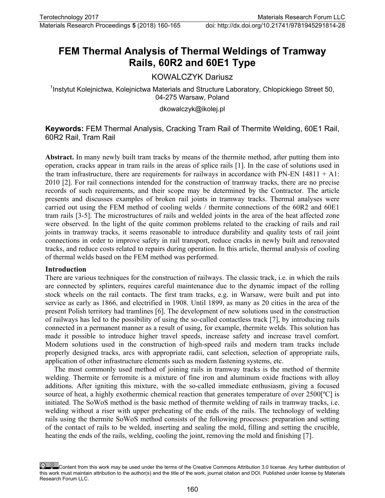# **FEM Thermal Analysis of Thermal Weldings of Tramway Rails, 60R2 and 60E1 Type**

# KOWALCZYK Dariusz

<sup>1</sup>Instytut Kolejnictwa, Kolejnictwa Materials and Structure Laboratory, Chlopickiego Street 50, 04-275 Warsaw, Poland

dkowalczyk@ikolej.pl

# **Keywords:** FEM Thermal Analysis, Cracking Tram Rail of Thermite Welding, 60E1 Rail, 60R2 Rail, Tram Rail

**Abstract.** In many newly built tram tracks by means of the thermite method, after putting them into operation, cracks appear in tram rails in the areas of splice rails [1]. In the case of solutions used in the tram infrastructure, there are requirements for railways in accordance with PN-EN  $14811 + A1$ : 2010 [2]. For rail connections intended for the construction of tramway tracks, there are no precise records of such requirements, and their scope may be determined by the Contractor. The article presents and discusses examples of broken rail joints in tramway tracks. Thermal analyses were carried out using the FEM method of cooling welds / thermite connections of the 60R2 and 60E1 tram rails [3-5]. The microstructures of rails and welded joints in the area of the heat affected zone were observed. In the light of the quite common problems related to the cracking of rails and rail joints in tramway tracks, it seems reasonable to introduce durability and quality tests of rail joint connections in order to improve safety in rail transport, reduce cracks in newly built and renovated tracks, and reduce costs related to repairs during operation. In this article, thermal analysis of cooling of thermal welds based on the FEM method was performed.

#### **Introduction**

There are various techniques for the construction of railways. The classic track, i.e. in which the rails are connected by splinters, requires careful maintenance due to the dynamic impact of the rolling stock wheels on the rail contacts. The first tram tracks, e.g. in Warsaw, were built and put into service as early as 1866, and electrified in 1908. Until 1899, as many as 20 cities in the area of the present Polish territory had tramlines [6]. The development of new solutions used in the construction of railways has led to the possibility of using the so-called contactless track [7], by introducing rails connected in a permanent manner as a result of using, for example, thermite welds. This solution has made it possible to introduce higher travel speeds, increase safety and increase travel comfort. Modern solutions used in the construction of high-speed rails and modern tram tracks include properly designed tracks, arcs with appropriate radii, cant selection, selection of appropriate rails, application of other infrastructure elements such as modern fastening systems, etc.

The most commonly used method of joining rails in tramway tracks is the method of thermite welding. Thermite or ferromite is a mixture of fine iron and aluminum oxide fractions with alloy additions. After igniting this mixture, with the so-called immediate enthusiasm, giving a focused source of heat, a highly exothermic chemical reaction that generates temperature of over 2500<sup>[°</sup>C] is initiated. The SoWoS method is the basic method of thermite welding of rails in tramway tracks, i.e. welding without a riser with upper preheating of the ends of the rails. The technology of welding rails using the thermite SoWoS method consists of the following processes: preparation and setting of the contact of rails to be welded, inserting and sealing the mold, filling and setting the crucible, heating the ends of the rails, welding, cooling the joint, removing the mold and finishing [7].

Content from this work may be used under the terms of the Creative Commons Attribution 3.0 license. Any further distribution of this work must maintain attribution to the author(s) and the title of the work, journal citation and DOI. Published under license by Materials Research Forum LLC.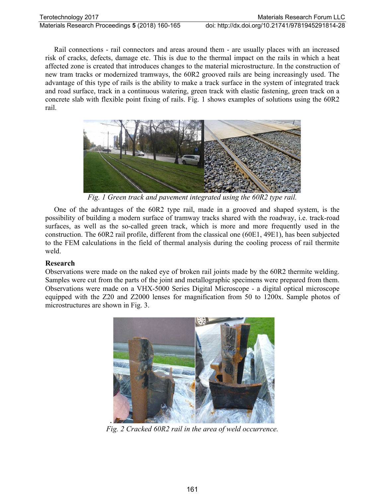Rail connections - rail connectors and areas around them - are usually places with an increased risk of cracks, defects, damage etc. This is due to the thermal impact on the rails in which a heat affected zone is created that introduces changes to the material microstructure. In the construction of new tram tracks or modernized tramways, the 60R2 grooved rails are being increasingly used. The advantage of this type of rails is the ability to make a track surface in the system of integrated track and road surface, track in a continuous watering, green track with elastic fastening, green track on a concrete slab with flexible point fixing of rails. Fig. 1 shows examples of solutions using the 60R2 rail.



*Fig. 1 Green track and pavement integrated using the 60R2 type rail.*

One of the advantages of the 60R2 type rail, made in a grooved and shaped system, is the possibility of building a modern surface of tramway tracks shared with the roadway, i.e. track-road surfaces, as well as the so-called green track, which is more and more frequently used in the construction. The 60R2 rail profile, different from the classical one (60E1, 49E1), has been subjected to the FEM calculations in the field of thermal analysis during the cooling process of rail thermite weld.

# **Research**

Observations were made on the naked eye of broken rail joints made by the 60R2 thermite welding. Samples were cut from the parts of the joint and metallographic specimens were prepared from them. Observations were made on a VHX-5000 Series Digital Microscope - a digital optical microscope equipped with the Z20 and Z2000 lenses for magnification from 50 to 1200x. Sample photos of microstructures are shown in Fig. 3.



*Fig. 2 Cracked 60R2 rail in the area of weld occurrence.*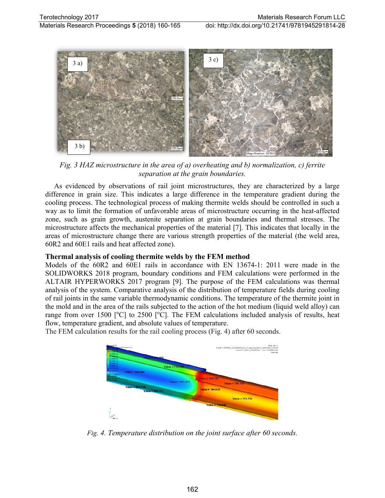

*Fig. 3 HAZ microstructure in the area of a) overheating and b) normalization, c) ferrite separation at the grain boundaries.* 

As evidenced by observations of rail joint microstructures, they are characterized by a large difference in grain size. This indicates a large difference in the temperature gradient during the cooling process. The technological process of making thermite welds should be controlled in such a way as to limit the formation of unfavorable areas of microstructure occurring in the heat-affected zone, such as grain growth, austenite separation at grain boundaries and thermal stresses. The microstructure affects the mechanical properties of the material [7]. This indicates that locally in the areas of microstructure change there are various strength properties of the material (the weld area, 60R2 and 60E1 rails and heat affected zone).

# **Thermal analysis of cooling thermite welds by the FEM method**

Models of the 60R2 and 60E1 rails in accordance with EN 13674-1: 2011 were made in the SOLIDWORKS 2018 program, boundary conditions and FEM calculations were performed in the ALTAIR HYPERWORKS 2017 program [9]. The purpose of the FEM calculations was thermal analysis of the system. Comparative analysis of the distribution of temperature fields during cooling of rail joints in the same variable thermodynamic conditions. The temperature of the thermite joint in the mold and in the area of the rails subjected to the action of the hot medium (liquid weld alloy) can range from over 1500 [ $^{\circ}$ C] to 2500 [ $^{\circ}$ C]. The FEM calculations included analysis of results, heat flow, temperature gradient, and absolute values of temperature.

The FEM calculation results for the rail cooling process (Fig. 4) after 60 seconds.



*Fig. 4. Temperature distribution on the joint surface after 60 seconds.*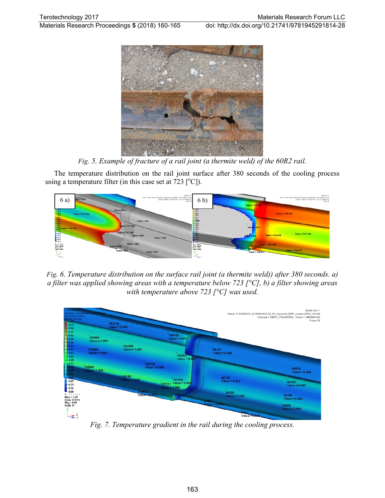

*Fig. 5. Example of fracture of a rail joint (a thermite weld) of the 60R2 rail.*

The temperature distribution on the rail joint surface after 380 seconds of the cooling process using a temperature filter (in this case set at  $723$  [°C]).



*Fig. 6. Temperature distribution on the surface rail joint (a thermite weld)) after 380 seconds. a) a filter was applied showing areas with a temperature below 723 [°C], b) a filter showing areas with temperature above 723 [°C] was used.*



*Fig. 7. Temperature gradient in the rail during the cooling process.*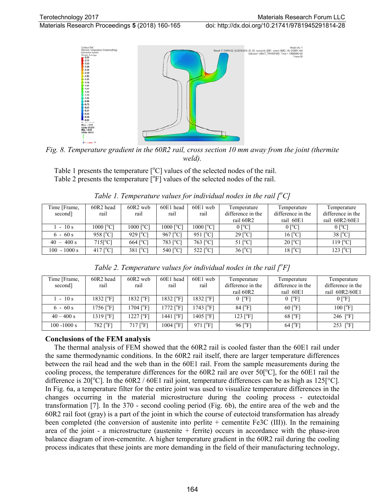Materials Research Proceedings **5** (2018) 160-165 doi: http://dx.doi.org/10.21741/9781945291814-28



*Fig. 8. Temperature gradient in the 60R2 rail, cross section 10 mm away from the joint (thermite weld).*

Table 1 presents the temperature  $[°C]$  values of the selected nodes of the rail. Table 2 presents the temperature  $[°F]$  values of the selected nodes of the rail.

| Time [Frame,   | 60R2 head              | 60R <sub>2</sub> web  | 60E1 head                   | 60E1 web                | Temperature            | Temperature            | Temperature           |
|----------------|------------------------|-----------------------|-----------------------------|-------------------------|------------------------|------------------------|-----------------------|
| second]        | rail                   | rail                  | rail                        | rail                    | difference in the      | difference in the      | difference in the     |
|                |                        |                       |                             |                         | rail 60R2              | rail 60E1              | rail 60R2/60E1        |
| $1 - 10s$      | $1000$ [ $^{\circ}$ C] | 1000 [°C]             | $1000$ [ <sup>o</sup> C]    | 1000 [°C]               | $0$ [ <sup>o</sup> C]  | $0$ [ <sup>o</sup> C]  | $0 [^{\circ}C]$       |
| $6 - 60 s$     | $958$ [ $^{\circ}$ C]  | $929$ [ $^{\circ}$ C] | $967$ [ $^{\circ}$ C]       | 951 $\lceil^{\circ}$ Cl | $29$ [ $^{\circ}$ C]   | $16$ [ <sup>o</sup> C] | $38$ [ $^{\circ}$ C]  |
| $40 - 400 s$   | $715[^{\circ}C]$       | $664$ [ $^{\circ}$ C] | 783 $\lceil^{\circ}C\rceil$ | $763$ [ <sup>o</sup> C] | $51$ [ <sup>o</sup> C] | $20$ [ <sup>o</sup> C] | $119$ [ $^{\circ}$ C] |
| $100 - 1000 s$ | $417$ [ $^{\circ}$ C]  | $381$ [ $^{\circ}$ C] | 540 $\lceil^{\circ}C\rceil$ | 522 $[^{\circ}C]$       | 36 [°C]                | $18$ [ <sup>o</sup> C] | $123$ [ $^{\circ}$ C] |

Table 1. Temperature values for individual nodes in the rail  $\int_{a}^{b}$ C]

| Time [Frame,   | 60R2 head               | $60R2$ web               | 60E1 head             | $60E1$ web            | Temperature                  | Temperature             | Temperature             |
|----------------|-------------------------|--------------------------|-----------------------|-----------------------|------------------------------|-------------------------|-------------------------|
| second]        | rail                    | rail                     | rail                  | rail                  | difference in the            | difference in the       | difference in the       |
|                |                         |                          |                       |                       | rail 60R2                    | rail 60E1               | rail 60R2/60E1          |
| 1 - 10 s       | 1832 [°F]               | $1832$ [ $\degree$ F]    | 1832 [°F]             | $1832$ [ $\degree$ F] | $0$ $\lceil$ <sup>o</sup> F] | $0 \degree$ F           | $0$ [ $\mathrm{P}$ F]   |
| $6 - 60 s$     | $1756$ [°F]             | $1704$ [ $\degree$ F]    | $1772$ $[^{\circ}$ F] | 1743 I°F1             | $84$ [ $\degree$ F]          | $60$ [ $\mathrm{PFI}$ ] | $100$ [ $\mathrm{P}$ F] |
| $40 - 400 s$   | $1319$ [ $\degree$ F]   | $1227$ [ $\degree$ F]    | 1441 [°F]             | 1405 [°F]             | $123$ [ $\degree$ F]         | $68$ [ $\mathrm{°F}$ ]  | 246 $[^{\circ}F]$       |
| $100 - 1000 s$ | $782$ [ $\mathrm{°F}$ ] | $717$ [ $\textdegree$ F] | 1004 [°F]             | $971$ $[^{\circ}$ F1  | $96$ [ $\mathrm{P}$ ]        | $64$ [ $\mathrm{°F}$ ]  | 253 $[°F]$              |

Table 2. Temperature values for individual nodes in the rail [<sup>o</sup>F]

#### **Conclusions of the FEM analysis**

The thermal analysis of FEM showed that the 60R2 rail is cooled faster than the 60E1 rail under the same thermodynamic conditions. In the 60R2 rail itself, there are larger temperature differences between the rail head and the web than in the 60E1 rail. From the sample measurements during the cooling process, the temperature differences for the  $60R2$  rail are over  $50[^{\circ}C]$ , for the  $60E1$  rail the difference is 20<sup>[°</sup>C]. In the 60R2 / 60E1 rail joint, temperature differences can be as high as 125<sup>[°</sup>C]. In Fig. 6a, a temperature filter for the entire joint was used to visualize temperature differences in the changes occurring in the material microstructure during the cooling process - eutectoidal transformation [7]. In the 370 - second cooling period (Fig. 6b), the entire area of the web and the 60R2 rail foot (gray) is a part of the joint in which the course of eutectoid transformation has already been completed (the conversion of austenite into perlite + cementite Fe3C (III)). In the remaining area of the joint - a microstructure (austenite  $+$  ferrite) occurs in accordance with the phase-iron balance diagram of iron-cementite. A higher temperature gradient in the 60R2 rail during the cooling process indicates that these joints are more demanding in the field of their manufacturing technology,